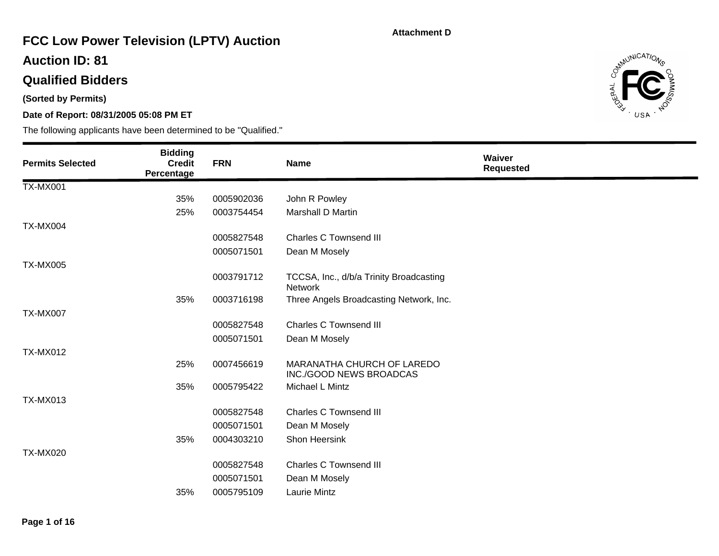# **FCC Low Power Television (LPTV) Auction**

### **Auction ID: 81**

## **Qualified Bidders**

**(Sorted by Permits)** 

### **Date of Report: 08/31/2005 05:08 PM ET**



| <b>Permits Selected</b> | <b>Bidding</b><br><b>Credit</b><br>Percentage | <b>FRN</b> | <b>Name</b>                                           | Waiver<br><b>Requested</b> |
|-------------------------|-----------------------------------------------|------------|-------------------------------------------------------|----------------------------|
| <b>TX-MX001</b>         |                                               |            |                                                       |                            |
|                         | 35%                                           | 0005902036 | John R Powley                                         |                            |
|                         | 25%                                           | 0003754454 | <b>Marshall D Martin</b>                              |                            |
| <b>TX-MX004</b>         |                                               |            |                                                       |                            |
|                         |                                               | 0005827548 | <b>Charles C Townsend III</b>                         |                            |
|                         |                                               | 0005071501 | Dean M Mosely                                         |                            |
| <b>TX-MX005</b>         |                                               |            |                                                       |                            |
|                         |                                               | 0003791712 | TCCSA, Inc., d/b/a Trinity Broadcasting<br>Network    |                            |
|                         | 35%                                           | 0003716198 | Three Angels Broadcasting Network, Inc.               |                            |
| <b>TX-MX007</b>         |                                               |            |                                                       |                            |
|                         |                                               | 0005827548 | <b>Charles C Townsend III</b>                         |                            |
|                         |                                               | 0005071501 | Dean M Mosely                                         |                            |
| <b>TX-MX012</b>         |                                               |            |                                                       |                            |
|                         | 25%                                           | 0007456619 | MARANATHA CHURCH OF LAREDO<br>INC./GOOD NEWS BROADCAS |                            |
|                         | 35%                                           | 0005795422 | Michael L Mintz                                       |                            |
| <b>TX-MX013</b>         |                                               |            |                                                       |                            |
|                         |                                               | 0005827548 | <b>Charles C Townsend III</b>                         |                            |
|                         |                                               | 0005071501 | Dean M Mosely                                         |                            |
|                         | 35%                                           | 0004303210 | Shon Heersink                                         |                            |
| <b>TX-MX020</b>         |                                               |            |                                                       |                            |
|                         |                                               | 0005827548 | <b>Charles C Townsend III</b>                         |                            |
|                         |                                               | 0005071501 | Dean M Mosely                                         |                            |
|                         | 35%                                           | 0005795109 | <b>Laurie Mintz</b>                                   |                            |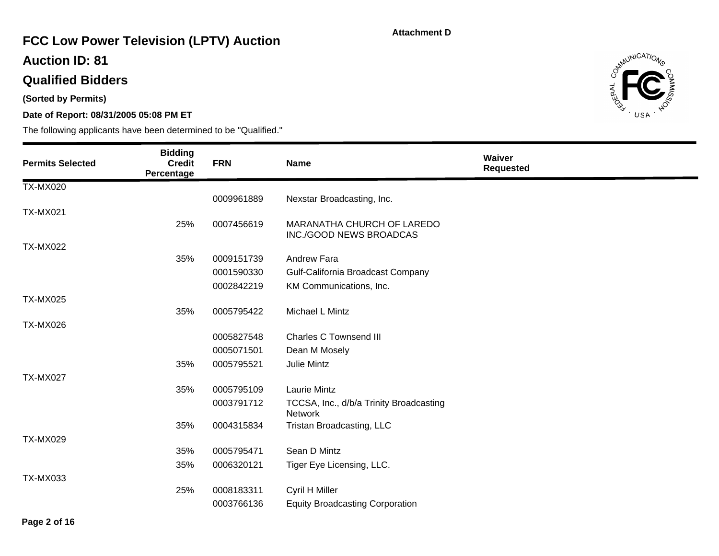# **FCC Low Power Television (LPTV) Auction**

### **Auction ID: 81**

## **Qualified Bidders**

**(Sorted by Permits)** 

### **Date of Report: 08/31/2005 05:08 PM ET**



| <b>Permits Selected</b> | <b>Bidding</b><br><b>Credit</b><br>Percentage | <b>FRN</b> | <b>Name</b>                                               | Waiver<br><b>Requested</b> |
|-------------------------|-----------------------------------------------|------------|-----------------------------------------------------------|----------------------------|
| <b>TX-MX020</b>         |                                               |            |                                                           |                            |
|                         |                                               | 0009961889 | Nexstar Broadcasting, Inc.                                |                            |
| <b>TX-MX021</b>         |                                               |            |                                                           |                            |
|                         | 25%                                           | 0007456619 | MARANATHA CHURCH OF LAREDO<br>INC./GOOD NEWS BROADCAS     |                            |
| <b>TX-MX022</b>         |                                               |            |                                                           |                            |
|                         | 35%                                           | 0009151739 | Andrew Fara                                               |                            |
|                         |                                               | 0001590330 | Gulf-California Broadcast Company                         |                            |
|                         |                                               | 0002842219 | KM Communications, Inc.                                   |                            |
| <b>TX-MX025</b>         |                                               |            |                                                           |                            |
|                         | 35%                                           | 0005795422 | Michael L Mintz                                           |                            |
| <b>TX-MX026</b>         |                                               |            |                                                           |                            |
|                         |                                               | 0005827548 | <b>Charles C Townsend III</b>                             |                            |
|                         |                                               | 0005071501 | Dean M Mosely                                             |                            |
|                         | 35%                                           | 0005795521 | Julie Mintz                                               |                            |
| <b>TX-MX027</b>         |                                               |            |                                                           |                            |
|                         | 35%                                           | 0005795109 | Laurie Mintz                                              |                            |
|                         |                                               | 0003791712 | TCCSA, Inc., d/b/a Trinity Broadcasting<br><b>Network</b> |                            |
|                         | 35%                                           | 0004315834 | Tristan Broadcasting, LLC                                 |                            |
| <b>TX-MX029</b>         |                                               |            |                                                           |                            |
|                         | 35%                                           | 0005795471 | Sean D Mintz                                              |                            |
|                         | 35%                                           | 0006320121 | Tiger Eye Licensing, LLC.                                 |                            |
| <b>TX-MX033</b>         |                                               |            |                                                           |                            |
|                         | 25%                                           | 0008183311 | Cyril H Miller                                            |                            |
|                         |                                               | 0003766136 | <b>Equity Broadcasting Corporation</b>                    |                            |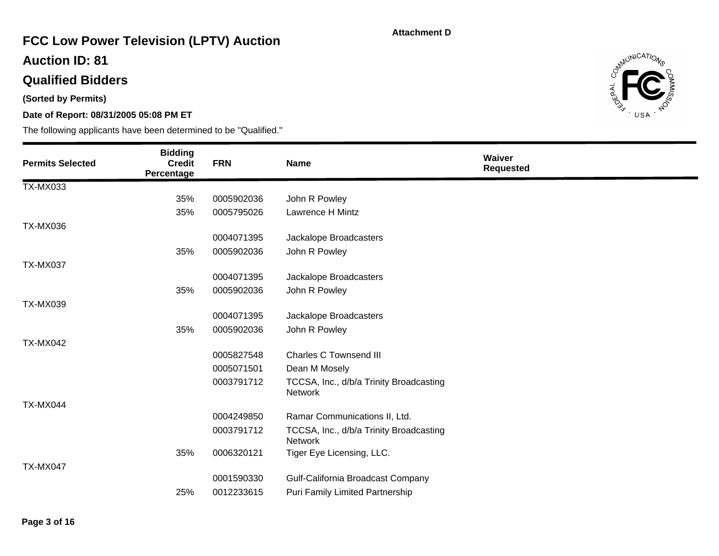# **FCC Low Power Television (LPTV) Auction**

### **Auction ID: 81**

## **Qualified Bidders**

**(Sorted by Permits)** 

### **Date of Report: 08/31/2005 05:08 PM ET**



| <b>Permits Selected</b> | <b>Bidding</b><br><b>Credit</b><br>Percentage | <b>FRN</b> | <b>Name</b>                                        | Waiver<br><b>Requested</b> |
|-------------------------|-----------------------------------------------|------------|----------------------------------------------------|----------------------------|
| <b>TX-MX033</b>         |                                               |            |                                                    |                            |
|                         | 35%                                           | 0005902036 | John R Powley                                      |                            |
|                         | 35%                                           | 0005795026 | <b>Lawrence H Mintz</b>                            |                            |
| <b>TX-MX036</b>         |                                               |            |                                                    |                            |
|                         |                                               | 0004071395 | Jackalope Broadcasters                             |                            |
|                         | 35%                                           | 0005902036 | John R Powley                                      |                            |
| <b>TX-MX037</b>         |                                               |            |                                                    |                            |
|                         |                                               | 0004071395 | Jackalope Broadcasters                             |                            |
|                         | 35%                                           | 0005902036 | John R Powley                                      |                            |
| <b>TX-MX039</b>         |                                               |            |                                                    |                            |
|                         |                                               | 0004071395 | Jackalope Broadcasters                             |                            |
|                         | 35%                                           | 0005902036 | John R Powley                                      |                            |
| <b>TX-MX042</b>         |                                               |            |                                                    |                            |
|                         |                                               | 0005827548 | Charles C Townsend III                             |                            |
|                         |                                               | 0005071501 | Dean M Mosely                                      |                            |
|                         |                                               | 0003791712 | TCCSA, Inc., d/b/a Trinity Broadcasting<br>Network |                            |
| TX-MX044                |                                               |            |                                                    |                            |
|                         |                                               | 0004249850 | Ramar Communications II, Ltd.                      |                            |
|                         |                                               | 0003791712 | TCCSA, Inc., d/b/a Trinity Broadcasting<br>Network |                            |
|                         | 35%                                           | 0006320121 | Tiger Eye Licensing, LLC.                          |                            |
| <b>TX-MX047</b>         |                                               |            |                                                    |                            |
|                         |                                               | 0001590330 | Gulf-California Broadcast Company                  |                            |
|                         | 25%                                           | 0012233615 | Puri Family Limited Partnership                    |                            |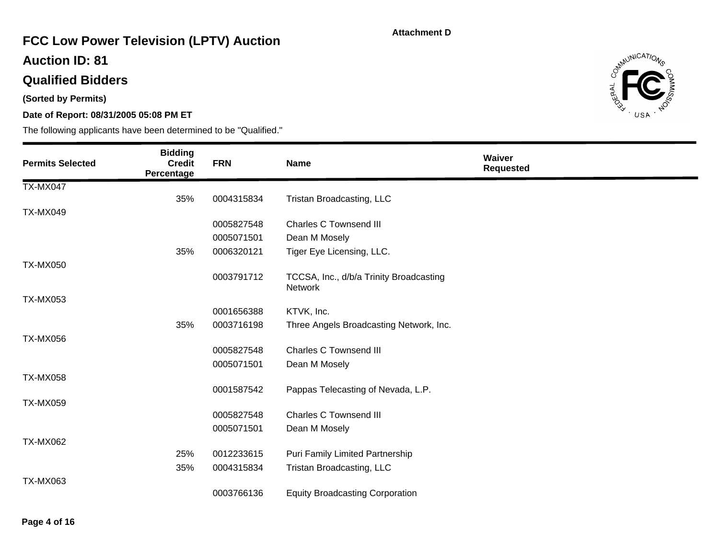# **FCC Low Power Television (LPTV) Auction**

### **Auction ID: 81**

## **Qualified Bidders**

**(Sorted by Permits)** 

### **Date of Report: 08/31/2005 05:08 PM ET**



| <b>Permits Selected</b> | <b>Bidding</b><br><b>Credit</b><br>Percentage | <b>FRN</b> | <b>Name</b>                                               | <b>Waiver</b><br><b>Requested</b> |
|-------------------------|-----------------------------------------------|------------|-----------------------------------------------------------|-----------------------------------|
| <b>TX-MX047</b>         |                                               |            |                                                           |                                   |
|                         | 35%                                           | 0004315834 | Tristan Broadcasting, LLC                                 |                                   |
| <b>TX-MX049</b>         |                                               |            |                                                           |                                   |
|                         |                                               | 0005827548 | <b>Charles C Townsend III</b>                             |                                   |
|                         |                                               | 0005071501 | Dean M Mosely                                             |                                   |
|                         | 35%                                           | 0006320121 | Tiger Eye Licensing, LLC.                                 |                                   |
| <b>TX-MX050</b>         |                                               |            |                                                           |                                   |
|                         |                                               | 0003791712 | TCCSA, Inc., d/b/a Trinity Broadcasting<br><b>Network</b> |                                   |
| <b>TX-MX053</b>         |                                               |            |                                                           |                                   |
|                         |                                               | 0001656388 | KTVK, Inc.                                                |                                   |
|                         | 35%                                           | 0003716198 | Three Angels Broadcasting Network, Inc.                   |                                   |
| <b>TX-MX056</b>         |                                               |            |                                                           |                                   |
|                         |                                               | 0005827548 | <b>Charles C Townsend III</b>                             |                                   |
|                         |                                               | 0005071501 | Dean M Mosely                                             |                                   |
| <b>TX-MX058</b>         |                                               |            |                                                           |                                   |
|                         |                                               | 0001587542 | Pappas Telecasting of Nevada, L.P.                        |                                   |
| <b>TX-MX059</b>         |                                               |            |                                                           |                                   |
|                         |                                               | 0005827548 | <b>Charles C Townsend III</b>                             |                                   |
|                         |                                               | 0005071501 | Dean M Mosely                                             |                                   |
| <b>TX-MX062</b>         |                                               |            |                                                           |                                   |
|                         | 25%                                           | 0012233615 | Puri Family Limited Partnership                           |                                   |
|                         | 35%                                           | 0004315834 | Tristan Broadcasting, LLC                                 |                                   |
| <b>TX-MX063</b>         |                                               |            |                                                           |                                   |
|                         |                                               | 0003766136 | <b>Equity Broadcasting Corporation</b>                    |                                   |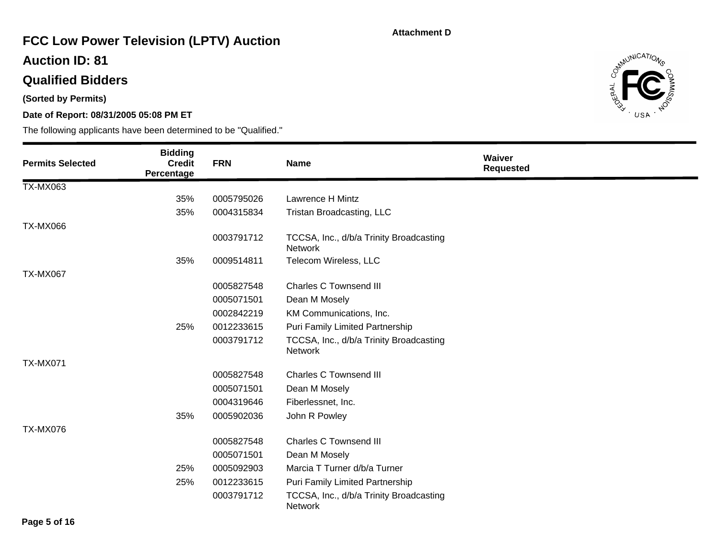# **FCC Low Power Television (LPTV) Auction**

### **Auction ID: 81**

## **Qualified Bidders**

**(Sorted by Permits)** 

### **Date of Report: 08/31/2005 05:08 PM ET**



| <b>Permits Selected</b> | <b>Bidding</b><br><b>Credit</b><br>Percentage | <b>FRN</b> | <b>Name</b>                                               | Waiver<br><b>Requested</b> |
|-------------------------|-----------------------------------------------|------------|-----------------------------------------------------------|----------------------------|
| <b>TX-MX063</b>         |                                               |            |                                                           |                            |
|                         | 35%                                           | 0005795026 | Lawrence H Mintz                                          |                            |
|                         | 35%                                           | 0004315834 | Tristan Broadcasting, LLC                                 |                            |
| <b>TX-MX066</b>         |                                               |            |                                                           |                            |
|                         |                                               | 0003791712 | TCCSA, Inc., d/b/a Trinity Broadcasting<br><b>Network</b> |                            |
|                         | 35%                                           | 0009514811 | Telecom Wireless, LLC                                     |                            |
| <b>TX-MX067</b>         |                                               |            |                                                           |                            |
|                         |                                               | 0005827548 | <b>Charles C Townsend III</b>                             |                            |
|                         |                                               | 0005071501 | Dean M Mosely                                             |                            |
|                         |                                               | 0002842219 | KM Communications, Inc.                                   |                            |
|                         | 25%                                           | 0012233615 | Puri Family Limited Partnership                           |                            |
|                         |                                               | 0003791712 | TCCSA, Inc., d/b/a Trinity Broadcasting<br><b>Network</b> |                            |
| <b>TX-MX071</b>         |                                               |            |                                                           |                            |
|                         |                                               | 0005827548 | <b>Charles C Townsend III</b>                             |                            |
|                         |                                               | 0005071501 | Dean M Mosely                                             |                            |
|                         |                                               | 0004319646 | Fiberlessnet, Inc.                                        |                            |
|                         | 35%                                           | 0005902036 | John R Powley                                             |                            |
| <b>TX-MX076</b>         |                                               |            |                                                           |                            |
|                         |                                               | 0005827548 | <b>Charles C Townsend III</b>                             |                            |
|                         |                                               | 0005071501 | Dean M Mosely                                             |                            |
|                         | 25%                                           | 0005092903 | Marcia T Turner d/b/a Turner                              |                            |
|                         | 25%                                           | 0012233615 | Puri Family Limited Partnership                           |                            |
|                         |                                               | 0003791712 | TCCSA, Inc., d/b/a Trinity Broadcasting<br><b>Network</b> |                            |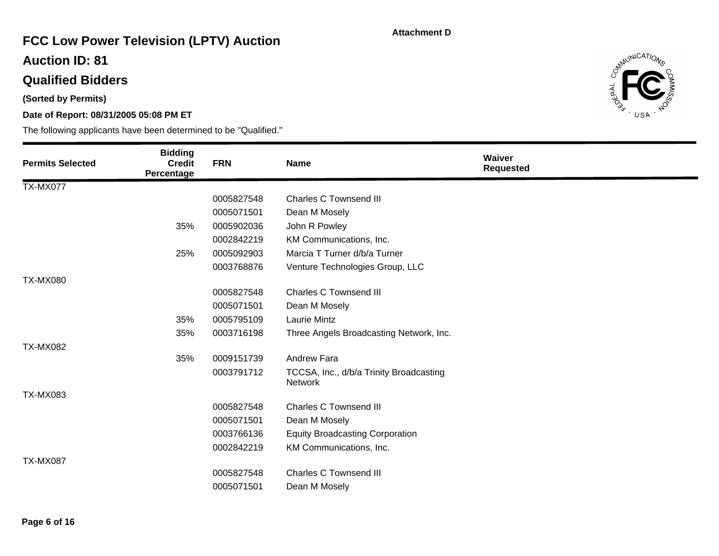# **FCC Low Power Television (LPTV) Auction**

### **Auction ID: 81**

## **Qualified Bidders**

**(Sorted by Permits)** 

### **Date of Report: 08/31/2005 05:08 PM ET**



| <b>Permits Selected</b> | <b>Bidding</b><br><b>Credit</b><br>Percentage | <b>FRN</b> | <b>Name</b>                                               | Waiver<br><b>Requested</b> |
|-------------------------|-----------------------------------------------|------------|-----------------------------------------------------------|----------------------------|
| <b>TX-MX077</b>         |                                               |            |                                                           |                            |
|                         |                                               | 0005827548 | <b>Charles C Townsend III</b>                             |                            |
|                         |                                               | 0005071501 | Dean M Mosely                                             |                            |
|                         | 35%                                           | 0005902036 | John R Powley                                             |                            |
|                         |                                               | 0002842219 | KM Communications, Inc.                                   |                            |
|                         | 25%                                           | 0005092903 | Marcia T Turner d/b/a Turner                              |                            |
|                         |                                               | 0003768876 | Venture Technologies Group, LLC                           |                            |
| <b>TX-MX080</b>         |                                               |            |                                                           |                            |
|                         |                                               | 0005827548 | <b>Charles C Townsend III</b>                             |                            |
|                         |                                               | 0005071501 | Dean M Mosely                                             |                            |
|                         | 35%                                           | 0005795109 | <b>Laurie Mintz</b>                                       |                            |
|                         | 35%                                           | 0003716198 | Three Angels Broadcasting Network, Inc.                   |                            |
| <b>TX-MX082</b>         |                                               |            |                                                           |                            |
|                         | 35%                                           | 0009151739 | Andrew Fara                                               |                            |
|                         |                                               | 0003791712 | TCCSA, Inc., d/b/a Trinity Broadcasting<br><b>Network</b> |                            |
| <b>TX-MX083</b>         |                                               |            |                                                           |                            |
|                         |                                               | 0005827548 | <b>Charles C Townsend III</b>                             |                            |
|                         |                                               | 0005071501 | Dean M Mosely                                             |                            |
|                         |                                               | 0003766136 | <b>Equity Broadcasting Corporation</b>                    |                            |
|                         |                                               | 0002842219 | KM Communications, Inc.                                   |                            |
| TX-MX087                |                                               |            |                                                           |                            |
|                         |                                               | 0005827548 | <b>Charles C Townsend III</b>                             |                            |
|                         |                                               | 0005071501 | Dean M Mosely                                             |                            |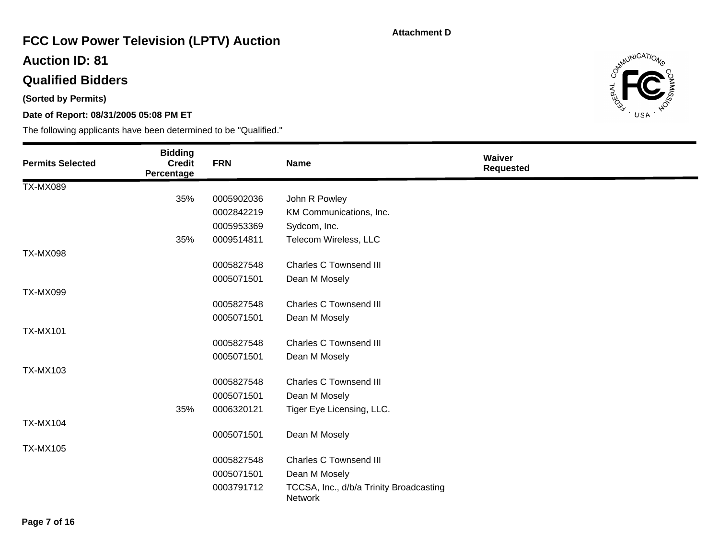# **FCC Low Power Television (LPTV) Auction**

### **Auction ID: 81**

## **Qualified Bidders**

**(Sorted by Permits)** 

### **Date of Report: 08/31/2005 05:08 PM ET**



| <b>Permits Selected</b> | <b>Bidding</b><br><b>Credit</b><br>Percentage | <b>FRN</b> | <b>Name</b>                                               | Waiver<br><b>Requested</b> |
|-------------------------|-----------------------------------------------|------------|-----------------------------------------------------------|----------------------------|
| <b>TX-MX089</b>         |                                               |            |                                                           |                            |
|                         | 35%                                           | 0005902036 | John R Powley                                             |                            |
|                         |                                               | 0002842219 | KM Communications, Inc.                                   |                            |
|                         |                                               | 0005953369 | Sydcom, Inc.                                              |                            |
|                         | 35%                                           | 0009514811 | Telecom Wireless, LLC                                     |                            |
| <b>TX-MX098</b>         |                                               |            |                                                           |                            |
|                         |                                               | 0005827548 | <b>Charles C Townsend III</b>                             |                            |
|                         |                                               | 0005071501 | Dean M Mosely                                             |                            |
| <b>TX-MX099</b>         |                                               |            |                                                           |                            |
|                         |                                               | 0005827548 | <b>Charles C Townsend III</b>                             |                            |
|                         |                                               | 0005071501 | Dean M Mosely                                             |                            |
| <b>TX-MX101</b>         |                                               |            |                                                           |                            |
|                         |                                               | 0005827548 | <b>Charles C Townsend III</b>                             |                            |
|                         |                                               | 0005071501 | Dean M Mosely                                             |                            |
| <b>TX-MX103</b>         |                                               |            |                                                           |                            |
|                         |                                               | 0005827548 | <b>Charles C Townsend III</b>                             |                            |
|                         |                                               | 0005071501 | Dean M Mosely                                             |                            |
|                         | 35%                                           | 0006320121 | Tiger Eye Licensing, LLC.                                 |                            |
| <b>TX-MX104</b>         |                                               |            |                                                           |                            |
|                         |                                               | 0005071501 | Dean M Mosely                                             |                            |
| <b>TX-MX105</b>         |                                               |            |                                                           |                            |
|                         |                                               | 0005827548 | <b>Charles C Townsend III</b>                             |                            |
|                         |                                               | 0005071501 | Dean M Mosely                                             |                            |
|                         |                                               | 0003791712 | TCCSA, Inc., d/b/a Trinity Broadcasting<br><b>Network</b> |                            |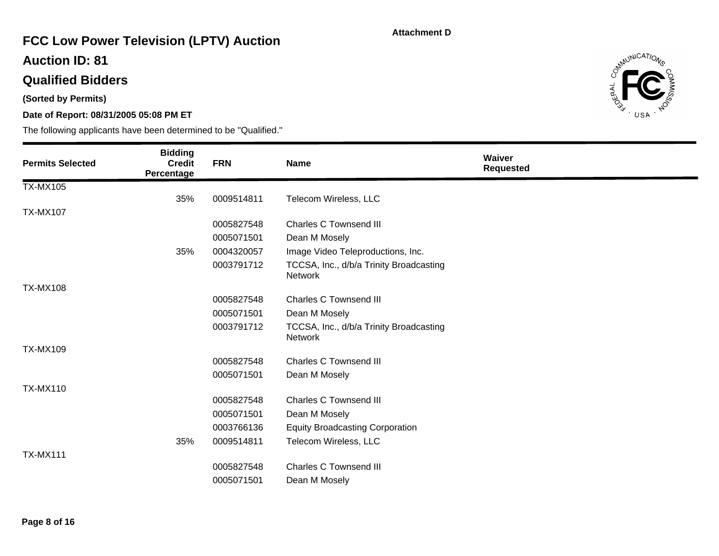# **FCC Low Power Television (LPTV) Auction**

### **Auction ID: 81**

## **Qualified Bidders**

**(Sorted by Permits)** 

### **Date of Report: 08/31/2005 05:08 PM ET**



| <b>Permits Selected</b> | <b>Bidding</b><br><b>Credit</b><br>Percentage | <b>FRN</b> | <b>Name</b>                                               | <b>Waiver</b><br><b>Requested</b> |
|-------------------------|-----------------------------------------------|------------|-----------------------------------------------------------|-----------------------------------|
| <b>TX-MX105</b>         |                                               |            |                                                           |                                   |
|                         | 35%                                           | 0009514811 | Telecom Wireless, LLC                                     |                                   |
| <b>TX-MX107</b>         |                                               |            |                                                           |                                   |
|                         |                                               | 0005827548 | <b>Charles C Townsend III</b>                             |                                   |
|                         |                                               | 0005071501 | Dean M Mosely                                             |                                   |
|                         | 35%                                           | 0004320057 | Image Video Teleproductions, Inc.                         |                                   |
|                         |                                               | 0003791712 | TCCSA, Inc., d/b/a Trinity Broadcasting<br><b>Network</b> |                                   |
| <b>TX-MX108</b>         |                                               |            |                                                           |                                   |
|                         |                                               | 0005827548 | <b>Charles C Townsend III</b>                             |                                   |
|                         |                                               | 0005071501 | Dean M Mosely                                             |                                   |
|                         |                                               | 0003791712 | TCCSA, Inc., d/b/a Trinity Broadcasting<br>Network        |                                   |
| <b>TX-MX109</b>         |                                               |            |                                                           |                                   |
|                         |                                               | 0005827548 | <b>Charles C Townsend III</b>                             |                                   |
|                         |                                               | 0005071501 | Dean M Mosely                                             |                                   |
| <b>TX-MX110</b>         |                                               |            |                                                           |                                   |
|                         |                                               | 0005827548 | <b>Charles C Townsend III</b>                             |                                   |
|                         |                                               | 0005071501 | Dean M Mosely                                             |                                   |
|                         |                                               | 0003766136 | <b>Equity Broadcasting Corporation</b>                    |                                   |
|                         | 35%                                           | 0009514811 | Telecom Wireless, LLC                                     |                                   |
| <b>TX-MX111</b>         |                                               |            |                                                           |                                   |
|                         |                                               | 0005827548 | <b>Charles C Townsend III</b>                             |                                   |
|                         |                                               | 0005071501 | Dean M Mosely                                             |                                   |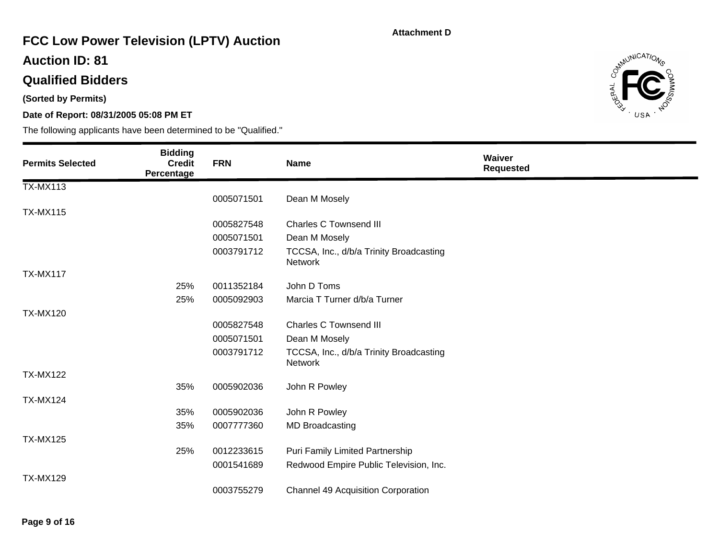# **FCC Low Power Television (LPTV) Auction**

### **Auction ID: 81**

## **Qualified Bidders**

**(Sorted by Permits)** 

### **Date of Report: 08/31/2005 05:08 PM ET**



| <b>Permits Selected</b> | <b>Bidding</b><br><b>Credit</b><br>Percentage | <b>FRN</b> | Name                                               | Waiver<br><b>Requested</b> |
|-------------------------|-----------------------------------------------|------------|----------------------------------------------------|----------------------------|
| <b>TX-MX113</b>         |                                               |            |                                                    |                            |
|                         |                                               | 0005071501 | Dean M Mosely                                      |                            |
| <b>TX-MX115</b>         |                                               |            |                                                    |                            |
|                         |                                               | 0005827548 | <b>Charles C Townsend III</b>                      |                            |
|                         |                                               | 0005071501 | Dean M Mosely                                      |                            |
|                         |                                               | 0003791712 | TCCSA, Inc., d/b/a Trinity Broadcasting<br>Network |                            |
| <b>TX-MX117</b>         |                                               |            |                                                    |                            |
|                         | 25%                                           | 0011352184 | John D Toms                                        |                            |
|                         | 25%                                           | 0005092903 | Marcia T Turner d/b/a Turner                       |                            |
| <b>TX-MX120</b>         |                                               |            |                                                    |                            |
|                         |                                               | 0005827548 | <b>Charles C Townsend III</b>                      |                            |
|                         |                                               | 0005071501 | Dean M Mosely                                      |                            |
|                         |                                               | 0003791712 | TCCSA, Inc., d/b/a Trinity Broadcasting<br>Network |                            |
| <b>TX-MX122</b>         |                                               |            |                                                    |                            |
|                         | 35%                                           | 0005902036 | John R Powley                                      |                            |
| <b>TX-MX124</b>         |                                               |            |                                                    |                            |
|                         | 35%                                           | 0005902036 | John R Powley                                      |                            |
|                         | 35%                                           | 0007777360 | <b>MD Broadcasting</b>                             |                            |
| <b>TX-MX125</b>         |                                               |            |                                                    |                            |
|                         | 25%                                           | 0012233615 | Puri Family Limited Partnership                    |                            |
|                         |                                               | 0001541689 | Redwood Empire Public Television, Inc.             |                            |
| <b>TX-MX129</b>         |                                               |            |                                                    |                            |
|                         |                                               | 0003755279 | <b>Channel 49 Acquisition Corporation</b>          |                            |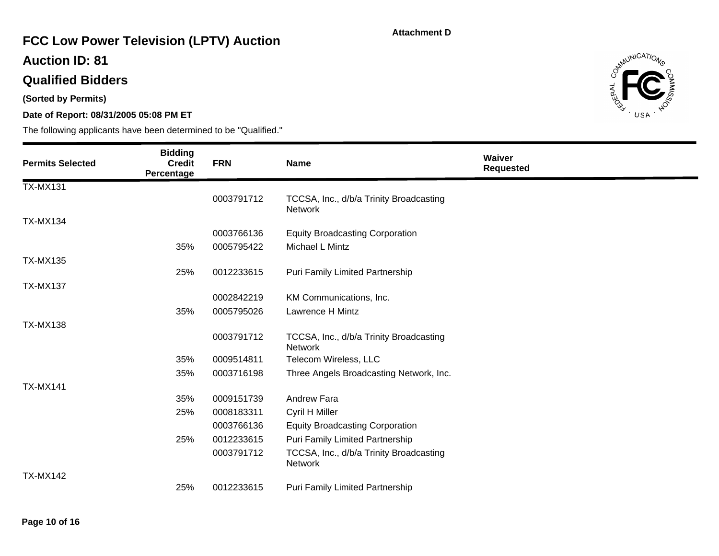# **FCC Low Power Television (LPTV) Auction**

### **Auction ID: 81**

## **Qualified Bidders**

**(Sorted by Permits)** 

### **Date of Report: 08/31/2005 05:08 PM ET**



| <b>Permits Selected</b> | <b>Bidding</b><br><b>Credit</b><br>Percentage | <b>FRN</b> | <b>Name</b>                                               | Waiver<br><b>Requested</b> |
|-------------------------|-----------------------------------------------|------------|-----------------------------------------------------------|----------------------------|
| <b>TX-MX131</b>         |                                               |            |                                                           |                            |
|                         |                                               | 0003791712 | TCCSA, Inc., d/b/a Trinity Broadcasting<br>Network        |                            |
| <b>TX-MX134</b>         |                                               |            |                                                           |                            |
|                         |                                               | 0003766136 | <b>Equity Broadcasting Corporation</b>                    |                            |
|                         | 35%                                           | 0005795422 | Michael L Mintz                                           |                            |
| <b>TX-MX135</b>         |                                               |            |                                                           |                            |
|                         | 25%                                           | 0012233615 | Puri Family Limited Partnership                           |                            |
| <b>TX-MX137</b>         |                                               |            |                                                           |                            |
|                         |                                               | 0002842219 | KM Communications, Inc.                                   |                            |
|                         | 35%                                           | 0005795026 | Lawrence H Mintz                                          |                            |
| <b>TX-MX138</b>         |                                               |            |                                                           |                            |
|                         |                                               | 0003791712 | TCCSA, Inc., d/b/a Trinity Broadcasting<br><b>Network</b> |                            |
|                         | 35%                                           | 0009514811 | Telecom Wireless, LLC                                     |                            |
|                         | 35%                                           | 0003716198 | Three Angels Broadcasting Network, Inc.                   |                            |
| <b>TX-MX141</b>         |                                               |            |                                                           |                            |
|                         | 35%                                           | 0009151739 | Andrew Fara                                               |                            |
|                         | 25%                                           | 0008183311 | Cyril H Miller                                            |                            |
|                         |                                               | 0003766136 | <b>Equity Broadcasting Corporation</b>                    |                            |
|                         | 25%                                           | 0012233615 | Puri Family Limited Partnership                           |                            |
|                         |                                               | 0003791712 | TCCSA, Inc., d/b/a Trinity Broadcasting<br>Network        |                            |
| <b>TX-MX142</b>         |                                               |            |                                                           |                            |
|                         | 25%                                           | 0012233615 | <b>Puri Family Limited Partnership</b>                    |                            |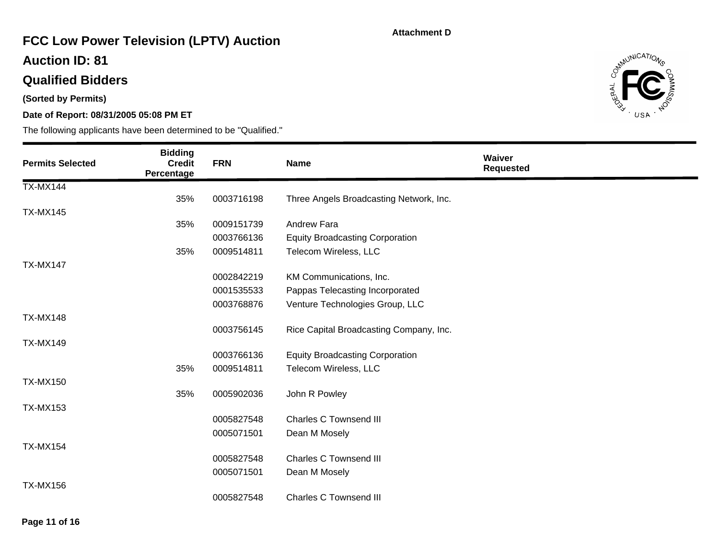# **FCC Low Power Television (LPTV) Auction**

### **Auction ID: 81**

## **Qualified Bidders**

**(Sorted by Permits)** 

### **Date of Report: 08/31/2005 05:08 PM ET**



| <b>Permits Selected</b> | <b>Bidding</b><br><b>Credit</b><br>Percentage | <b>FRN</b> | <b>Name</b>                             | Waiver<br><b>Requested</b> |
|-------------------------|-----------------------------------------------|------------|-----------------------------------------|----------------------------|
| <b>TX-MX144</b>         |                                               |            |                                         |                            |
|                         | 35%                                           | 0003716198 | Three Angels Broadcasting Network, Inc. |                            |
| <b>TX-MX145</b>         |                                               |            |                                         |                            |
|                         | 35%                                           | 0009151739 | <b>Andrew Fara</b>                      |                            |
|                         |                                               | 0003766136 | <b>Equity Broadcasting Corporation</b>  |                            |
|                         | 35%                                           | 0009514811 | Telecom Wireless, LLC                   |                            |
| <b>TX-MX147</b>         |                                               |            |                                         |                            |
|                         |                                               | 0002842219 | KM Communications, Inc.                 |                            |
|                         |                                               | 0001535533 | Pappas Telecasting Incorporated         |                            |
|                         |                                               | 0003768876 | Venture Technologies Group, LLC         |                            |
| <b>TX-MX148</b>         |                                               |            |                                         |                            |
|                         |                                               | 0003756145 | Rice Capital Broadcasting Company, Inc. |                            |
| <b>TX-MX149</b>         |                                               |            |                                         |                            |
|                         |                                               | 0003766136 | <b>Equity Broadcasting Corporation</b>  |                            |
|                         | 35%                                           | 0009514811 | Telecom Wireless, LLC                   |                            |
| <b>TX-MX150</b>         |                                               |            |                                         |                            |
|                         | 35%                                           | 0005902036 | John R Powley                           |                            |
| <b>TX-MX153</b>         |                                               | 0005827548 | <b>Charles C Townsend III</b>           |                            |
|                         |                                               | 0005071501 | Dean M Mosely                           |                            |
| <b>TX-MX154</b>         |                                               |            |                                         |                            |
|                         |                                               | 0005827548 | <b>Charles C Townsend III</b>           |                            |
|                         |                                               | 0005071501 | Dean M Mosely                           |                            |
| <b>TX-MX156</b>         |                                               |            |                                         |                            |
|                         |                                               | 0005827548 | <b>Charles C Townsend III</b>           |                            |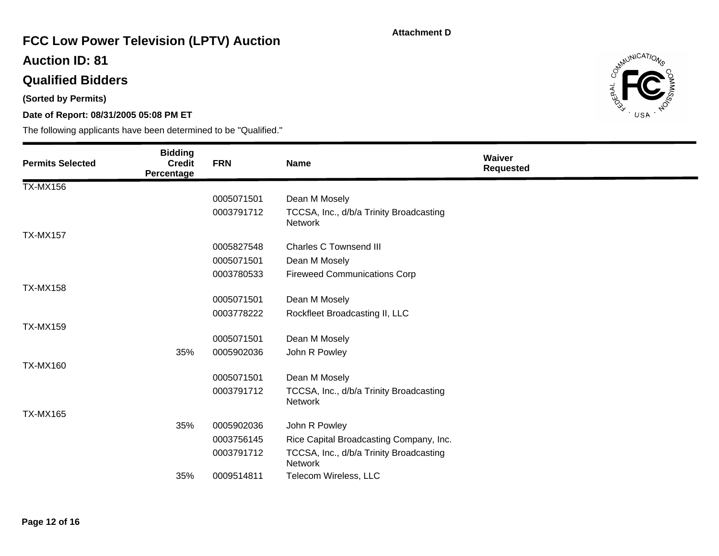# **FCC Low Power Television (LPTV) Auction**

### **Auction ID: 81**

## **Qualified Bidders**

**(Sorted by Permits)** 

### **Date of Report: 08/31/2005 05:08 PM ET**



| <b>Permits Selected</b> | <b>Bidding</b><br><b>Credit</b><br>Percentage | <b>FRN</b> | <b>Name</b>                                        | Waiver<br><b>Requested</b> |
|-------------------------|-----------------------------------------------|------------|----------------------------------------------------|----------------------------|
| <b>TX-MX156</b>         |                                               |            |                                                    |                            |
|                         |                                               | 0005071501 | Dean M Mosely                                      |                            |
|                         |                                               | 0003791712 | TCCSA, Inc., d/b/a Trinity Broadcasting<br>Network |                            |
| <b>TX-MX157</b>         |                                               |            |                                                    |                            |
|                         |                                               | 0005827548 | <b>Charles C Townsend III</b>                      |                            |
|                         |                                               | 0005071501 | Dean M Mosely                                      |                            |
|                         |                                               | 0003780533 | <b>Fireweed Communications Corp</b>                |                            |
| <b>TX-MX158</b>         |                                               |            |                                                    |                            |
|                         |                                               | 0005071501 | Dean M Mosely                                      |                            |
|                         |                                               | 0003778222 | Rockfleet Broadcasting II, LLC                     |                            |
| <b>TX-MX159</b>         |                                               |            |                                                    |                            |
|                         |                                               | 0005071501 | Dean M Mosely                                      |                            |
|                         | 35%                                           | 0005902036 | John R Powley                                      |                            |
| <b>TX-MX160</b>         |                                               |            |                                                    |                            |
|                         |                                               | 0005071501 | Dean M Mosely                                      |                            |
|                         |                                               | 0003791712 | TCCSA, Inc., d/b/a Trinity Broadcasting<br>Network |                            |
| <b>TX-MX165</b>         |                                               |            |                                                    |                            |
|                         | 35%                                           | 0005902036 | John R Powley                                      |                            |
|                         |                                               | 0003756145 | Rice Capital Broadcasting Company, Inc.            |                            |
|                         |                                               | 0003791712 | TCCSA, Inc., d/b/a Trinity Broadcasting<br>Network |                            |
|                         | 35%                                           | 0009514811 | Telecom Wireless, LLC                              |                            |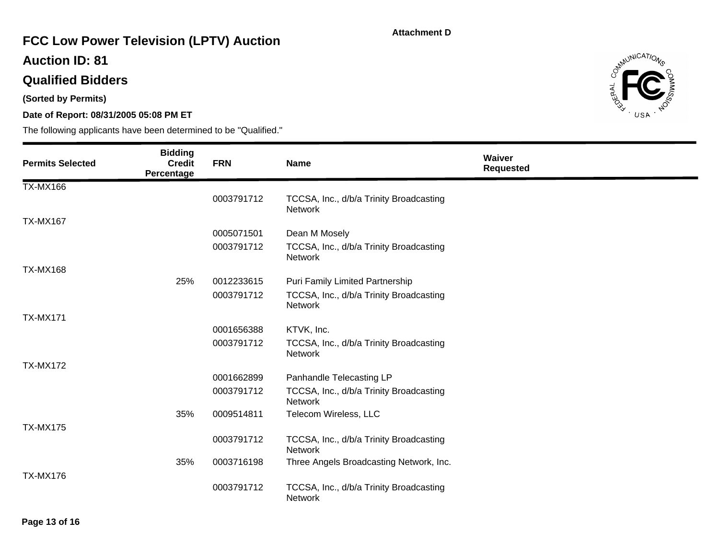# **FCC Low Power Television (LPTV) Auction**

### **Auction ID: 81**

## **Qualified Bidders**

**(Sorted by Permits)** 

### **Date of Report: 08/31/2005 05:08 PM ET**



| <b>Permits Selected</b> | <b>Bidding</b><br><b>Credit</b><br>Percentage | <b>FRN</b> | <b>Name</b>                                               | Waiver<br><b>Requested</b> |
|-------------------------|-----------------------------------------------|------------|-----------------------------------------------------------|----------------------------|
| <b>TX-MX166</b>         |                                               |            |                                                           |                            |
|                         |                                               | 0003791712 | TCCSA, Inc., d/b/a Trinity Broadcasting<br>Network        |                            |
| <b>TX-MX167</b>         |                                               |            |                                                           |                            |
|                         |                                               | 0005071501 | Dean M Mosely                                             |                            |
|                         |                                               | 0003791712 | TCCSA, Inc., d/b/a Trinity Broadcasting<br>Network        |                            |
| <b>TX-MX168</b>         |                                               |            |                                                           |                            |
|                         | 25%                                           | 0012233615 | Puri Family Limited Partnership                           |                            |
|                         |                                               | 0003791712 | TCCSA, Inc., d/b/a Trinity Broadcasting<br><b>Network</b> |                            |
| <b>TX-MX171</b>         |                                               |            |                                                           |                            |
|                         |                                               | 0001656388 | KTVK, Inc.                                                |                            |
|                         |                                               | 0003791712 | TCCSA, Inc., d/b/a Trinity Broadcasting<br>Network        |                            |
| <b>TX-MX172</b>         |                                               |            |                                                           |                            |
|                         |                                               | 0001662899 | Panhandle Telecasting LP                                  |                            |
|                         |                                               | 0003791712 | TCCSA, Inc., d/b/a Trinity Broadcasting<br><b>Network</b> |                            |
|                         | 35%                                           | 0009514811 | Telecom Wireless, LLC                                     |                            |
| <b>TX-MX175</b>         |                                               |            |                                                           |                            |
|                         |                                               | 0003791712 | TCCSA, Inc., d/b/a Trinity Broadcasting<br><b>Network</b> |                            |
|                         | 35%                                           | 0003716198 | Three Angels Broadcasting Network, Inc.                   |                            |
| <b>TX-MX176</b>         |                                               | 0003791712 | TCCSA, Inc., d/b/a Trinity Broadcasting<br>Network        |                            |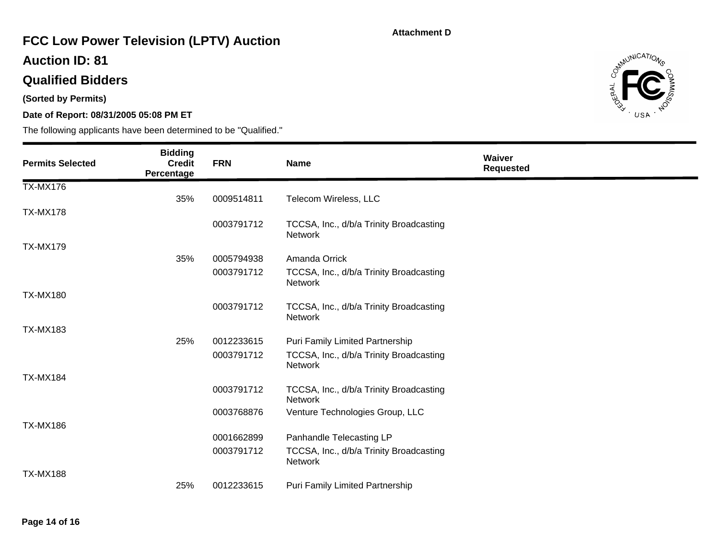# **FCC Low Power Television (LPTV) Auction**

### **Auction ID: 81**

## **Qualified Bidders**

**(Sorted by Permits)** 

### **Date of Report: 08/31/2005 05:08 PM ET**



| <b>Permits Selected</b> | <b>Bidding</b><br><b>Credit</b><br>Percentage | <b>FRN</b> | Name                                                      | Waiver<br><b>Requested</b> |
|-------------------------|-----------------------------------------------|------------|-----------------------------------------------------------|----------------------------|
| <b>TX-MX176</b>         |                                               |            |                                                           |                            |
|                         | 35%                                           | 0009514811 | Telecom Wireless, LLC                                     |                            |
| <b>TX-MX178</b>         |                                               |            |                                                           |                            |
|                         |                                               | 0003791712 | TCCSA, Inc., d/b/a Trinity Broadcasting<br><b>Network</b> |                            |
| <b>TX-MX179</b>         |                                               |            |                                                           |                            |
|                         | 35%                                           | 0005794938 | Amanda Orrick                                             |                            |
|                         |                                               | 0003791712 | TCCSA, Inc., d/b/a Trinity Broadcasting<br>Network        |                            |
| <b>TX-MX180</b>         |                                               |            |                                                           |                            |
|                         |                                               | 0003791712 | TCCSA, Inc., d/b/a Trinity Broadcasting<br>Network        |                            |
| <b>TX-MX183</b>         |                                               |            |                                                           |                            |
|                         | 25%                                           | 0012233615 | Puri Family Limited Partnership                           |                            |
|                         |                                               | 0003791712 | TCCSA, Inc., d/b/a Trinity Broadcasting<br>Network        |                            |
| <b>TX-MX184</b>         |                                               |            |                                                           |                            |
|                         |                                               | 0003791712 | TCCSA, Inc., d/b/a Trinity Broadcasting<br><b>Network</b> |                            |
|                         |                                               | 0003768876 | Venture Technologies Group, LLC                           |                            |
| <b>TX-MX186</b>         |                                               |            |                                                           |                            |
|                         |                                               | 0001662899 | Panhandle Telecasting LP                                  |                            |
|                         |                                               | 0003791712 | TCCSA, Inc., d/b/a Trinity Broadcasting<br>Network        |                            |
| <b>TX-MX188</b>         |                                               |            |                                                           |                            |
|                         | 25%                                           | 0012233615 | Puri Family Limited Partnership                           |                            |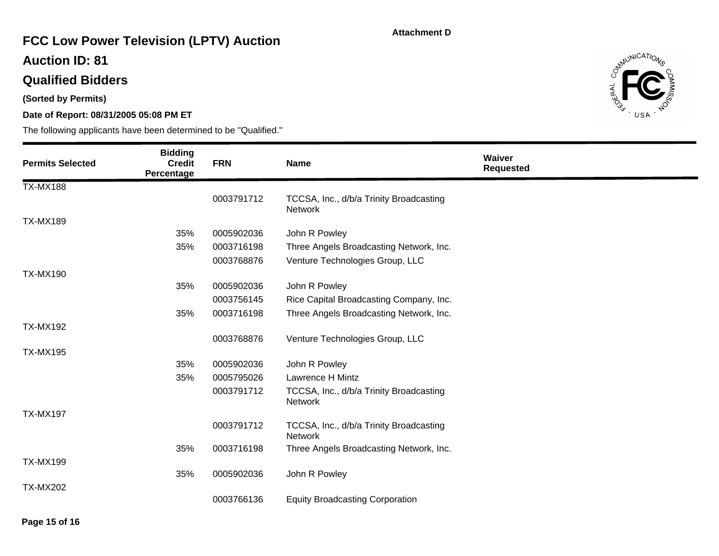# **FCC Low Power Television (LPTV) Auction**

### **Auction ID: 81**

## **Qualified Bidders**

**(Sorted by Permits)** 

### **Date of Report: 08/31/2005 05:08 PM ET**



| <b>Permits Selected</b> | <b>Bidding</b><br><b>Credit</b><br>Percentage | <b>FRN</b> | <b>Name</b>                                               | Waiver<br><b>Requested</b> |
|-------------------------|-----------------------------------------------|------------|-----------------------------------------------------------|----------------------------|
| <b>TX-MX188</b>         |                                               |            |                                                           |                            |
|                         |                                               | 0003791712 | TCCSA, Inc., d/b/a Trinity Broadcasting<br>Network        |                            |
| <b>TX-MX189</b>         |                                               |            |                                                           |                            |
|                         | 35%                                           | 0005902036 | John R Powley                                             |                            |
|                         | 35%                                           | 0003716198 | Three Angels Broadcasting Network, Inc.                   |                            |
|                         |                                               | 0003768876 | Venture Technologies Group, LLC                           |                            |
| <b>TX-MX190</b>         |                                               |            |                                                           |                            |
|                         | 35%                                           | 0005902036 | John R Powley                                             |                            |
|                         |                                               | 0003756145 | Rice Capital Broadcasting Company, Inc.                   |                            |
|                         | 35%                                           | 0003716198 | Three Angels Broadcasting Network, Inc.                   |                            |
| <b>TX-MX192</b>         |                                               |            |                                                           |                            |
|                         |                                               | 0003768876 | Venture Technologies Group, LLC                           |                            |
| <b>TX-MX195</b>         |                                               |            |                                                           |                            |
|                         | 35%                                           | 0005902036 | John R Powley                                             |                            |
|                         | 35%                                           | 0005795026 | Lawrence H Mintz                                          |                            |
|                         |                                               | 0003791712 | TCCSA, Inc., d/b/a Trinity Broadcasting<br><b>Network</b> |                            |
| <b>TX-MX197</b>         |                                               |            |                                                           |                            |
|                         |                                               | 0003791712 | TCCSA, Inc., d/b/a Trinity Broadcasting<br><b>Network</b> |                            |
|                         | 35%                                           | 0003716198 | Three Angels Broadcasting Network, Inc.                   |                            |
| <b>TX-MX199</b>         |                                               |            |                                                           |                            |
|                         | 35%                                           | 0005902036 | John R Powley                                             |                            |
| <b>TX-MX202</b>         |                                               |            |                                                           |                            |
|                         |                                               | 0003766136 | <b>Equity Broadcasting Corporation</b>                    |                            |